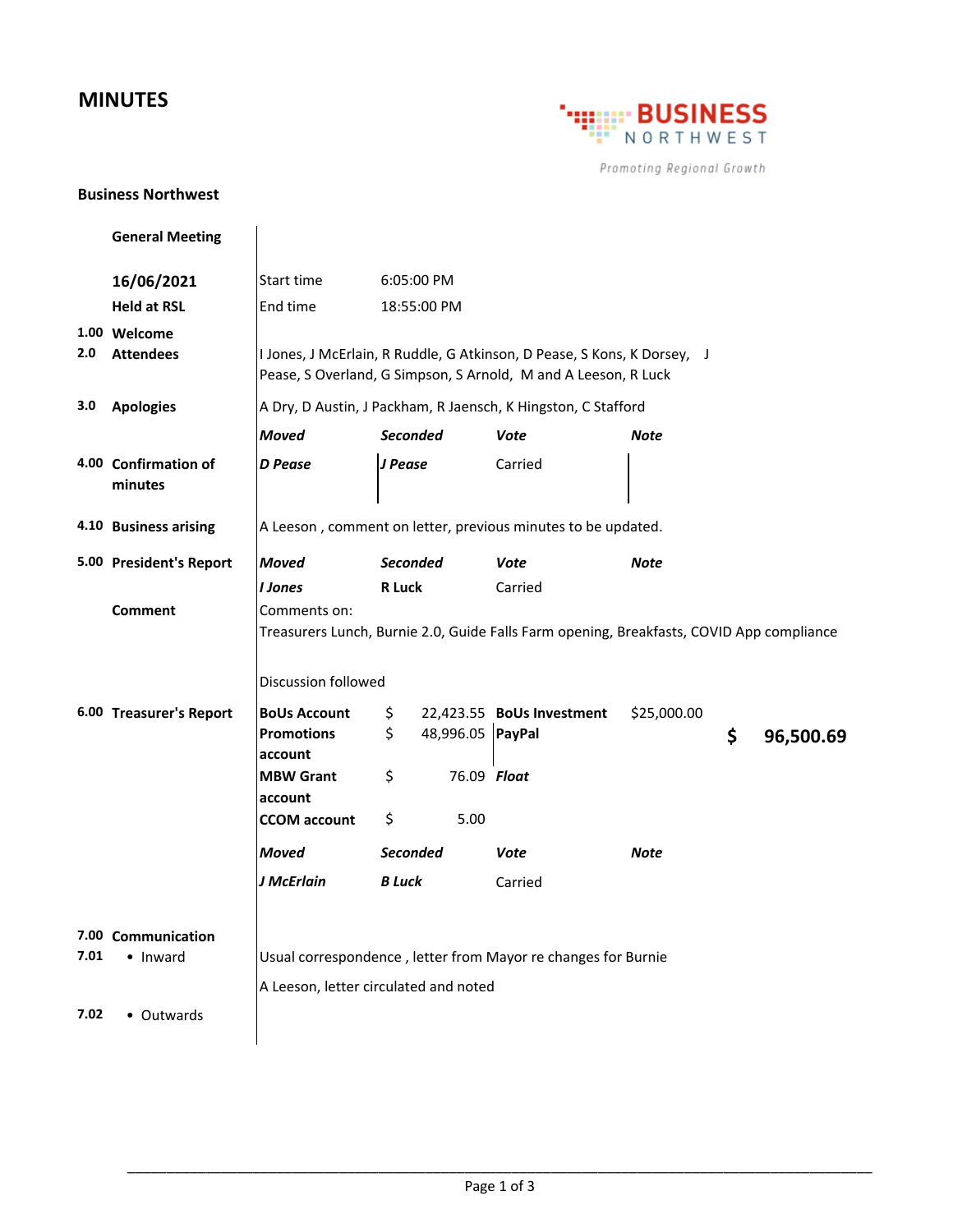## **MINUTES**



Promoting Regional Growth

## **Business Northwest**

|      | <b>General Meeting</b>           |                                                                                                                                           |                 |                  |                                                                                          |             |    |           |
|------|----------------------------------|-------------------------------------------------------------------------------------------------------------------------------------------|-----------------|------------------|------------------------------------------------------------------------------------------|-------------|----|-----------|
|      | 16/06/2021                       | Start time                                                                                                                                | 6:05:00 PM      |                  |                                                                                          |             |    |           |
|      | <b>Held at RSL</b>               | End time                                                                                                                                  |                 | 18:55:00 PM      |                                                                                          |             |    |           |
| 2.0  | 1.00 Welcome<br><b>Attendees</b> | I Jones, J McErlain, R Ruddle, G Atkinson, D Pease, S Kons, K Dorsey, J<br>Pease, S Overland, G Simpson, S Arnold, M and A Leeson, R Luck |                 |                  |                                                                                          |             |    |           |
| 3.0  | <b>Apologies</b>                 | A Dry, D Austin, J Packham, R Jaensch, K Hingston, C Stafford                                                                             |                 |                  |                                                                                          |             |    |           |
|      |                                  | <b>Moved</b>                                                                                                                              | <b>Seconded</b> |                  | Vote                                                                                     | Note        |    |           |
|      | 4.00 Confirmation of<br>minutes  | <b>D</b> Pease                                                                                                                            | J Pease         |                  | Carried                                                                                  |             |    |           |
|      | 4.10 Business arising            | A Leeson, comment on letter, previous minutes to be updated.                                                                              |                 |                  |                                                                                          |             |    |           |
|      | 5.00 President's Report          | <b>Moved</b>                                                                                                                              | <b>Seconded</b> |                  | Vote                                                                                     | <b>Note</b> |    |           |
|      |                                  | <b>I</b> Jones                                                                                                                            | <b>R</b> Luck   |                  | Carried                                                                                  |             |    |           |
|      | <b>Comment</b>                   | Comments on:                                                                                                                              |                 |                  |                                                                                          |             |    |           |
|      |                                  |                                                                                                                                           |                 |                  | Treasurers Lunch, Burnie 2.0, Guide Falls Farm opening, Breakfasts, COVID App compliance |             |    |           |
|      |                                  | Discussion followed                                                                                                                       |                 |                  |                                                                                          |             |    |           |
|      | 6.00 Treasurer's Report          | <b>BoUs Account</b>                                                                                                                       | \$              |                  | 22,423.55 BoUs Investment                                                                | \$25,000.00 |    |           |
|      |                                  | <b>Promotions</b>                                                                                                                         | \$              | 48,996.05 PayPal |                                                                                          |             | \$ | 96,500.69 |
|      |                                  | account<br><b>MBW Grant</b>                                                                                                               | \$              | 76.09 Float      |                                                                                          |             |    |           |
|      |                                  | account                                                                                                                                   |                 |                  |                                                                                          |             |    |           |
|      |                                  | <b>CCOM</b> account                                                                                                                       | \$              | 5.00             |                                                                                          |             |    |           |
|      |                                  | <b>Moved</b>                                                                                                                              | <b>Seconded</b> |                  | Vote                                                                                     | Note        |    |           |
|      |                                  | J McErlain                                                                                                                                | <b>B</b> Luck   |                  | Carried                                                                                  |             |    |           |
| 7.01 | 7.00 Communication<br>• Inward   | Usual correspondence, letter from Mayor re changes for Burnie<br>A Leeson, letter circulated and noted                                    |                 |                  |                                                                                          |             |    |           |
| 7.02 | • Outwards                       |                                                                                                                                           |                 |                  |                                                                                          |             |    |           |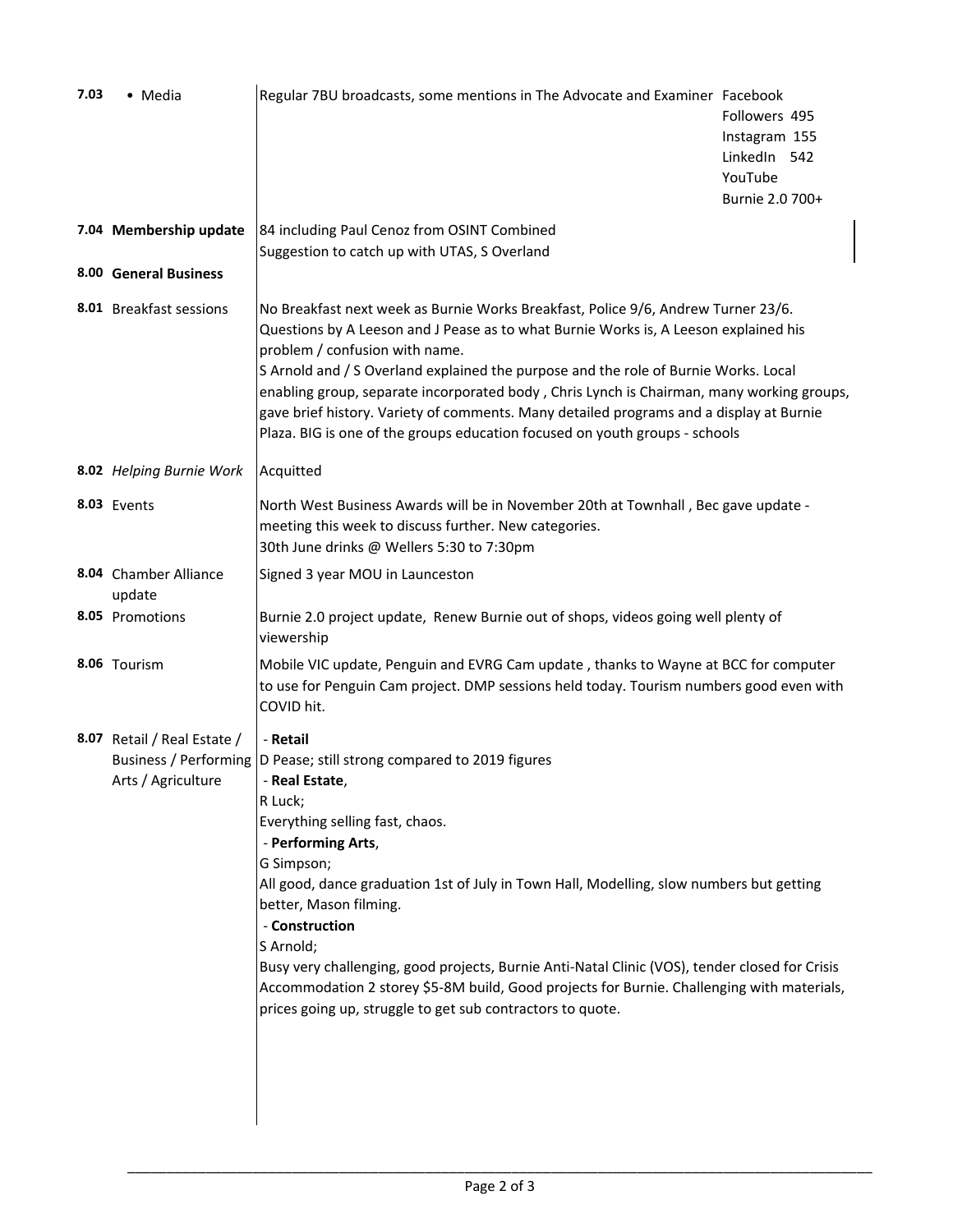| 7.03 | • Media                                           | Regular 7BU broadcasts, some mentions in The Advocate and Examiner Facebook                                                                                                                                                                                                                                                                                                                                                                                                                                                                                                                              | Followers 495<br>Instagram 155<br>LinkedIn 542<br>YouTube<br>Burnie 2.0 700+ |  |  |
|------|---------------------------------------------------|----------------------------------------------------------------------------------------------------------------------------------------------------------------------------------------------------------------------------------------------------------------------------------------------------------------------------------------------------------------------------------------------------------------------------------------------------------------------------------------------------------------------------------------------------------------------------------------------------------|------------------------------------------------------------------------------|--|--|
|      | 7.04 Membership update                            | 84 including Paul Cenoz from OSINT Combined                                                                                                                                                                                                                                                                                                                                                                                                                                                                                                                                                              |                                                                              |  |  |
|      | 8.00 General Business                             | Suggestion to catch up with UTAS, S Overland                                                                                                                                                                                                                                                                                                                                                                                                                                                                                                                                                             |                                                                              |  |  |
|      |                                                   |                                                                                                                                                                                                                                                                                                                                                                                                                                                                                                                                                                                                          |                                                                              |  |  |
|      | 8.01 Breakfast sessions                           | No Breakfast next week as Burnie Works Breakfast, Police 9/6, Andrew Turner 23/6.<br>Questions by A Leeson and J Pease as to what Burnie Works is, A Leeson explained his<br>problem / confusion with name.<br>S Arnold and / S Overland explained the purpose and the role of Burnie Works. Local<br>enabling group, separate incorporated body, Chris Lynch is Chairman, many working groups,<br>gave brief history. Variety of comments. Many detailed programs and a display at Burnie<br>Plaza. BIG is one of the groups education focused on youth groups - schools                                |                                                                              |  |  |
|      | 8.02 Helping Burnie Work                          | Acquitted                                                                                                                                                                                                                                                                                                                                                                                                                                                                                                                                                                                                |                                                                              |  |  |
|      | 8.03 Events                                       | North West Business Awards will be in November 20th at Townhall, Bec gave update -<br>meeting this week to discuss further. New categories.<br>30th June drinks @ Wellers 5:30 to 7:30pm                                                                                                                                                                                                                                                                                                                                                                                                                 |                                                                              |  |  |
|      | 8.04 Chamber Alliance<br>update                   | Signed 3 year MOU in Launceston                                                                                                                                                                                                                                                                                                                                                                                                                                                                                                                                                                          |                                                                              |  |  |
|      | 8.05 Promotions                                   | Burnie 2.0 project update, Renew Burnie out of shops, videos going well plenty of<br>viewership                                                                                                                                                                                                                                                                                                                                                                                                                                                                                                          |                                                                              |  |  |
|      | 8.06 Tourism                                      | Mobile VIC update, Penguin and EVRG Cam update, thanks to Wayne at BCC for computer<br>to use for Penguin Cam project. DMP sessions held today. Tourism numbers good even with<br>COVID hit.                                                                                                                                                                                                                                                                                                                                                                                                             |                                                                              |  |  |
|      | 8.07 Retail / Real Estate /<br>Arts / Agriculture | - Retail<br>Business / Performing  D Pease; still strong compared to 2019 figures<br>- Real Estate,<br>R Luck;<br>Everything selling fast, chaos.<br>- Performing Arts,<br>G Simpson;<br>All good, dance graduation 1st of July in Town Hall, Modelling, slow numbers but getting<br>better, Mason filming.<br>- Construction<br>S Arnold;<br>Busy very challenging, good projects, Burnie Anti-Natal Clinic (VOS), tender closed for Crisis<br>Accommodation 2 storey \$5-8M build, Good projects for Burnie. Challenging with materials,<br>prices going up, struggle to get sub contractors to quote. |                                                                              |  |  |